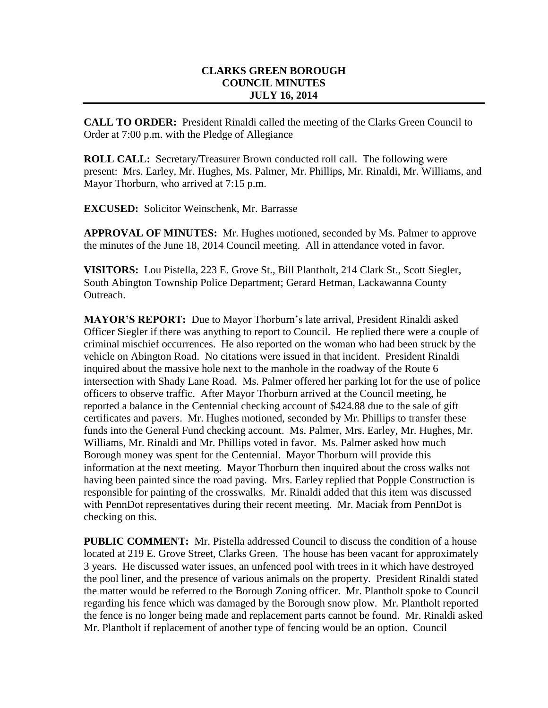## **CLARKS GREEN BOROUGH COUNCIL MINUTES JULY 16, 2014**

**CALL TO ORDER:** President Rinaldi called the meeting of the Clarks Green Council to Order at 7:00 p.m. with the Pledge of Allegiance

**ROLL CALL:** Secretary/Treasurer Brown conducted roll call. The following were present: Mrs. Earley, Mr. Hughes, Ms. Palmer, Mr. Phillips, Mr. Rinaldi, Mr. Williams, and Mayor Thorburn, who arrived at 7:15 p.m.

**EXCUSED:** Solicitor Weinschenk, Mr. Barrasse

**APPROVAL OF MINUTES:** Mr. Hughes motioned, seconded by Ms. Palmer to approve the minutes of the June 18, 2014 Council meeting. All in attendance voted in favor.

**VISITORS:** Lou Pistella, 223 E. Grove St., Bill Plantholt, 214 Clark St., Scott Siegler, South Abington Township Police Department; Gerard Hetman, Lackawanna County Outreach.

**MAYOR'S REPORT:** Due to Mayor Thorburn's late arrival, President Rinaldi asked Officer Siegler if there was anything to report to Council. He replied there were a couple of criminal mischief occurrences. He also reported on the woman who had been struck by the vehicle on Abington Road. No citations were issued in that incident. President Rinaldi inquired about the massive hole next to the manhole in the roadway of the Route 6 intersection with Shady Lane Road. Ms. Palmer offered her parking lot for the use of police officers to observe traffic. After Mayor Thorburn arrived at the Council meeting, he reported a balance in the Centennial checking account of \$424.88 due to the sale of gift certificates and pavers. Mr. Hughes motioned, seconded by Mr. Phillips to transfer these funds into the General Fund checking account. Ms. Palmer, Mrs. Earley, Mr. Hughes, Mr. Williams, Mr. Rinaldi and Mr. Phillips voted in favor. Ms. Palmer asked how much Borough money was spent for the Centennial. Mayor Thorburn will provide this information at the next meeting. Mayor Thorburn then inquired about the cross walks not having been painted since the road paving. Mrs. Earley replied that Popple Construction is responsible for painting of the crosswalks. Mr. Rinaldi added that this item was discussed with PennDot representatives during their recent meeting. Mr. Maciak from PennDot is checking on this.

**PUBLIC COMMENT:** Mr. Pistella addressed Council to discuss the condition of a house located at 219 E. Grove Street, Clarks Green. The house has been vacant for approximately 3 years. He discussed water issues, an unfenced pool with trees in it which have destroyed the pool liner, and the presence of various animals on the property. President Rinaldi stated the matter would be referred to the Borough Zoning officer. Mr. Plantholt spoke to Council regarding his fence which was damaged by the Borough snow plow. Mr. Plantholt reported the fence is no longer being made and replacement parts cannot be found. Mr. Rinaldi asked Mr. Plantholt if replacement of another type of fencing would be an option. Council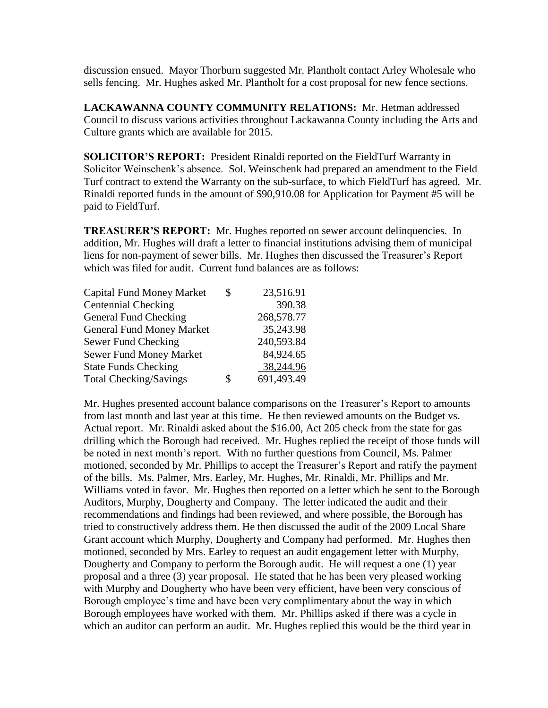discussion ensued. Mayor Thorburn suggested Mr. Plantholt contact Arley Wholesale who sells fencing. Mr. Hughes asked Mr. Plantholt for a cost proposal for new fence sections.

**LACKAWANNA COUNTY COMMUNITY RELATIONS:** Mr. Hetman addressed Council to discuss various activities throughout Lackawanna County including the Arts and Culture grants which are available for 2015.

**SOLICITOR'S REPORT:** President Rinaldi reported on the FieldTurf Warranty in Solicitor Weinschenk's absence. Sol. Weinschenk had prepared an amendment to the Field Turf contract to extend the Warranty on the sub-surface, to which FieldTurf has agreed. Mr. Rinaldi reported funds in the amount of \$90,910.08 for Application for Payment #5 will be paid to FieldTurf.

**TREASURER'S REPORT:** Mr. Hughes reported on sewer account delinquencies. In addition, Mr. Hughes will draft a letter to financial institutions advising them of municipal liens for non-payment of sewer bills. Mr. Hughes then discussed the Treasurer's Report which was filed for audit. Current fund balances are as follows:

| <b>Capital Fund Money Market</b> | \$<br>23,516.91  |
|----------------------------------|------------------|
| Centennial Checking              | 390.38           |
| <b>General Fund Checking</b>     | 268,578.77       |
| <b>General Fund Money Market</b> | 35,243.98        |
| Sewer Fund Checking              | 240,593.84       |
| <b>Sewer Fund Money Market</b>   | 84,924.65        |
| <b>State Funds Checking</b>      | 38,244.96        |
| <b>Total Checking/Savings</b>    | \$<br>691,493.49 |

Mr. Hughes presented account balance comparisons on the Treasurer's Report to amounts from last month and last year at this time. He then reviewed amounts on the Budget vs. Actual report. Mr. Rinaldi asked about the \$16.00, Act 205 check from the state for gas drilling which the Borough had received. Mr. Hughes replied the receipt of those funds will be noted in next month's report. With no further questions from Council, Ms. Palmer motioned, seconded by Mr. Phillips to accept the Treasurer's Report and ratify the payment of the bills. Ms. Palmer, Mrs. Earley, Mr. Hughes, Mr. Rinaldi, Mr. Phillips and Mr. Williams voted in favor. Mr. Hughes then reported on a letter which he sent to the Borough Auditors, Murphy, Dougherty and Company. The letter indicated the audit and their recommendations and findings had been reviewed, and where possible, the Borough has tried to constructively address them. He then discussed the audit of the 2009 Local Share Grant account which Murphy, Dougherty and Company had performed. Mr. Hughes then motioned, seconded by Mrs. Earley to request an audit engagement letter with Murphy, Dougherty and Company to perform the Borough audit. He will request a one (1) year proposal and a three (3) year proposal. He stated that he has been very pleased working with Murphy and Dougherty who have been very efficient, have been very conscious of Borough employee's time and have been very complimentary about the way in which Borough employees have worked with them. Mr. Phillips asked if there was a cycle in which an auditor can perform an audit. Mr. Hughes replied this would be the third year in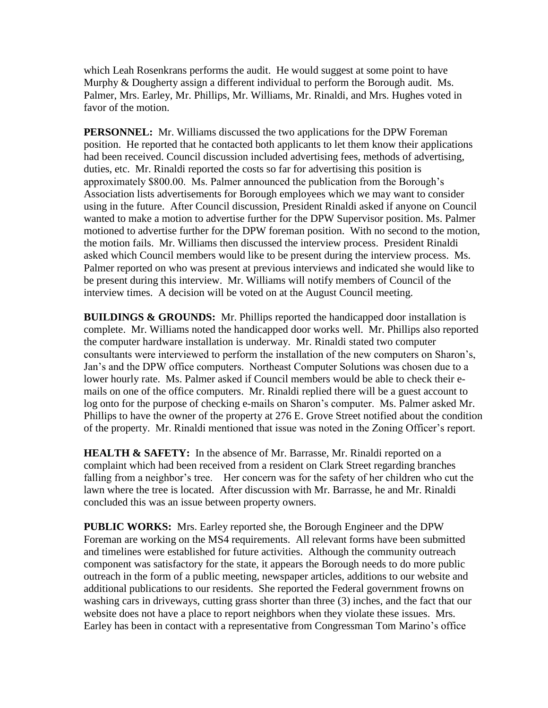which Leah Rosenkrans performs the audit. He would suggest at some point to have Murphy & Dougherty assign a different individual to perform the Borough audit. Ms. Palmer, Mrs. Earley, Mr. Phillips, Mr. Williams, Mr. Rinaldi, and Mrs. Hughes voted in favor of the motion.

**PERSONNEL:** Mr. Williams discussed the two applications for the DPW Foreman position. He reported that he contacted both applicants to let them know their applications had been received. Council discussion included advertising fees, methods of advertising, duties, etc. Mr. Rinaldi reported the costs so far for advertising this position is approximately \$800.00. Ms. Palmer announced the publication from the Borough's Association lists advertisements for Borough employees which we may want to consider using in the future. After Council discussion, President Rinaldi asked if anyone on Council wanted to make a motion to advertise further for the DPW Supervisor position. Ms. Palmer motioned to advertise further for the DPW foreman position. With no second to the motion, the motion fails. Mr. Williams then discussed the interview process. President Rinaldi asked which Council members would like to be present during the interview process. Ms. Palmer reported on who was present at previous interviews and indicated she would like to be present during this interview. Mr. Williams will notify members of Council of the interview times. A decision will be voted on at the August Council meeting.

**BUILDINGS & GROUNDS:** Mr. Phillips reported the handicapped door installation is complete. Mr. Williams noted the handicapped door works well. Mr. Phillips also reported the computer hardware installation is underway. Mr. Rinaldi stated two computer consultants were interviewed to perform the installation of the new computers on Sharon's, Jan's and the DPW office computers. Northeast Computer Solutions was chosen due to a lower hourly rate. Ms. Palmer asked if Council members would be able to check their emails on one of the office computers. Mr. Rinaldi replied there will be a guest account to log onto for the purpose of checking e-mails on Sharon's computer. Ms. Palmer asked Mr. Phillips to have the owner of the property at 276 E. Grove Street notified about the condition of the property. Mr. Rinaldi mentioned that issue was noted in the Zoning Officer's report.

**HEALTH & SAFETY:** In the absence of Mr. Barrasse, Mr. Rinaldi reported on a complaint which had been received from a resident on Clark Street regarding branches falling from a neighbor's tree. Her concern was for the safety of her children who cut the lawn where the tree is located. After discussion with Mr. Barrasse, he and Mr. Rinaldi concluded this was an issue between property owners.

**PUBLIC WORKS:** Mrs. Earley reported she, the Borough Engineer and the DPW Foreman are working on the MS4 requirements. All relevant forms have been submitted and timelines were established for future activities. Although the community outreach component was satisfactory for the state, it appears the Borough needs to do more public outreach in the form of a public meeting, newspaper articles, additions to our website and additional publications to our residents. She reported the Federal government frowns on washing cars in driveways, cutting grass shorter than three (3) inches, and the fact that our website does not have a place to report neighbors when they violate these issues. Mrs. Earley has been in contact with a representative from Congressman Tom Marino's office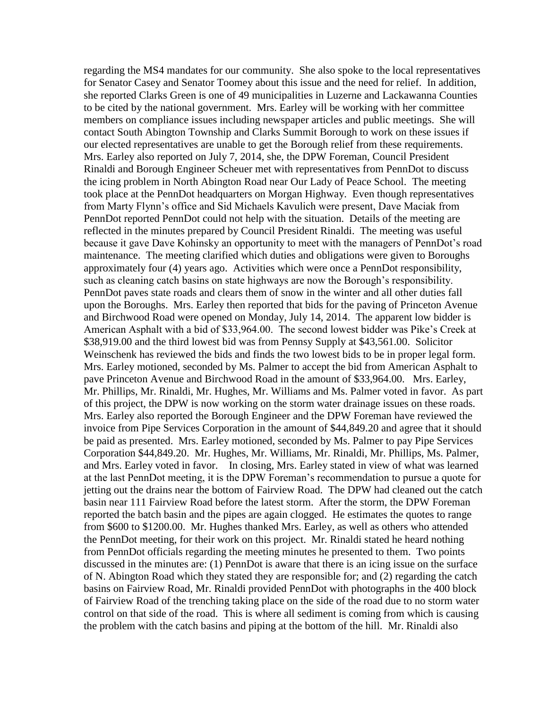regarding the MS4 mandates for our community. She also spoke to the local representatives for Senator Casey and Senator Toomey about this issue and the need for relief. In addition, she reported Clarks Green is one of 49 municipalities in Luzerne and Lackawanna Counties to be cited by the national government. Mrs. Earley will be working with her committee members on compliance issues including newspaper articles and public meetings. She will contact South Abington Township and Clarks Summit Borough to work on these issues if our elected representatives are unable to get the Borough relief from these requirements. Mrs. Earley also reported on July 7, 2014, she, the DPW Foreman, Council President Rinaldi and Borough Engineer Scheuer met with representatives from PennDot to discuss the icing problem in North Abington Road near Our Lady of Peace School. The meeting took place at the PennDot headquarters on Morgan Highway. Even though representatives from Marty Flynn's office and Sid Michaels Kavulich were present, Dave Maciak from PennDot reported PennDot could not help with the situation. Details of the meeting are reflected in the minutes prepared by Council President Rinaldi. The meeting was useful because it gave Dave Kohinsky an opportunity to meet with the managers of PennDot's road maintenance. The meeting clarified which duties and obligations were given to Boroughs approximately four (4) years ago. Activities which were once a PennDot responsibility, such as cleaning catch basins on state highways are now the Borough's responsibility. PennDot paves state roads and clears them of snow in the winter and all other duties fall upon the Boroughs. Mrs. Earley then reported that bids for the paving of Princeton Avenue and Birchwood Road were opened on Monday, July 14, 2014. The apparent low bidder is American Asphalt with a bid of \$33,964.00. The second lowest bidder was Pike's Creek at \$38,919.00 and the third lowest bid was from Pennsy Supply at \$43,561.00. Solicitor Weinschenk has reviewed the bids and finds the two lowest bids to be in proper legal form. Mrs. Earley motioned, seconded by Ms. Palmer to accept the bid from American Asphalt to pave Princeton Avenue and Birchwood Road in the amount of \$33,964.00. Mrs. Earley, Mr. Phillips, Mr. Rinaldi, Mr. Hughes, Mr. Williams and Ms. Palmer voted in favor. As part of this project, the DPW is now working on the storm water drainage issues on these roads. Mrs. Earley also reported the Borough Engineer and the DPW Foreman have reviewed the invoice from Pipe Services Corporation in the amount of \$44,849.20 and agree that it should be paid as presented. Mrs. Earley motioned, seconded by Ms. Palmer to pay Pipe Services Corporation \$44,849.20. Mr. Hughes, Mr. Williams, Mr. Rinaldi, Mr. Phillips, Ms. Palmer, and Mrs. Earley voted in favor. In closing, Mrs. Earley stated in view of what was learned at the last PennDot meeting, it is the DPW Foreman's recommendation to pursue a quote for jetting out the drains near the bottom of Fairview Road. The DPW had cleaned out the catch basin near 111 Fairview Road before the latest storm. After the storm, the DPW Foreman reported the batch basin and the pipes are again clogged. He estimates the quotes to range from \$600 to \$1200.00. Mr. Hughes thanked Mrs. Earley, as well as others who attended the PennDot meeting, for their work on this project. Mr. Rinaldi stated he heard nothing from PennDot officials regarding the meeting minutes he presented to them. Two points discussed in the minutes are: (1) PennDot is aware that there is an icing issue on the surface of N. Abington Road which they stated they are responsible for; and (2) regarding the catch basins on Fairview Road, Mr. Rinaldi provided PennDot with photographs in the 400 block of Fairview Road of the trenching taking place on the side of the road due to no storm water control on that side of the road. This is where all sediment is coming from which is causing the problem with the catch basins and piping at the bottom of the hill. Mr. Rinaldi also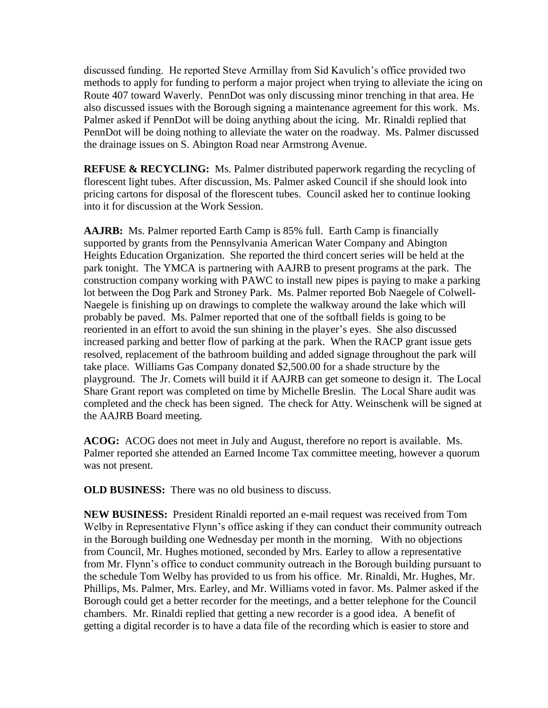discussed funding. He reported Steve Armillay from Sid Kavulich's office provided two methods to apply for funding to perform a major project when trying to alleviate the icing on Route 407 toward Waverly. PennDot was only discussing minor trenching in that area. He also discussed issues with the Borough signing a maintenance agreement for this work. Ms. Palmer asked if PennDot will be doing anything about the icing. Mr. Rinaldi replied that PennDot will be doing nothing to alleviate the water on the roadway. Ms. Palmer discussed the drainage issues on S. Abington Road near Armstrong Avenue.

**REFUSE & RECYCLING:** Ms. Palmer distributed paperwork regarding the recycling of florescent light tubes. After discussion, Ms. Palmer asked Council if she should look into pricing cartons for disposal of the florescent tubes. Council asked her to continue looking into it for discussion at the Work Session.

**AAJRB:** Ms. Palmer reported Earth Camp is 85% full. Earth Camp is financially supported by grants from the Pennsylvania American Water Company and Abington Heights Education Organization. She reported the third concert series will be held at the park tonight. The YMCA is partnering with AAJRB to present programs at the park. The construction company working with PAWC to install new pipes is paying to make a parking lot between the Dog Park and Stroney Park. Ms. Palmer reported Bob Naegele of Colwell-Naegele is finishing up on drawings to complete the walkway around the lake which will probably be paved. Ms. Palmer reported that one of the softball fields is going to be reoriented in an effort to avoid the sun shining in the player's eyes. She also discussed increased parking and better flow of parking at the park. When the RACP grant issue gets resolved, replacement of the bathroom building and added signage throughout the park will take place. Williams Gas Company donated \$2,500.00 for a shade structure by the playground. The Jr. Comets will build it if AAJRB can get someone to design it. The Local Share Grant report was completed on time by Michelle Breslin. The Local Share audit was completed and the check has been signed. The check for Atty. Weinschenk will be signed at the AAJRB Board meeting.

**ACOG:** ACOG does not meet in July and August, therefore no report is available. Ms. Palmer reported she attended an Earned Income Tax committee meeting, however a quorum was not present.

**OLD BUSINESS:** There was no old business to discuss.

**NEW BUSINESS:** President Rinaldi reported an e-mail request was received from Tom Welby in Representative Flynn's office asking if they can conduct their community outreach in the Borough building one Wednesday per month in the morning. With no objections from Council, Mr. Hughes motioned, seconded by Mrs. Earley to allow a representative from Mr. Flynn's office to conduct community outreach in the Borough building pursuant to the schedule Tom Welby has provided to us from his office. Mr. Rinaldi, Mr. Hughes, Mr. Phillips, Ms. Palmer, Mrs. Earley, and Mr. Williams voted in favor. Ms. Palmer asked if the Borough could get a better recorder for the meetings, and a better telephone for the Council chambers. Mr. Rinaldi replied that getting a new recorder is a good idea. A benefit of getting a digital recorder is to have a data file of the recording which is easier to store and